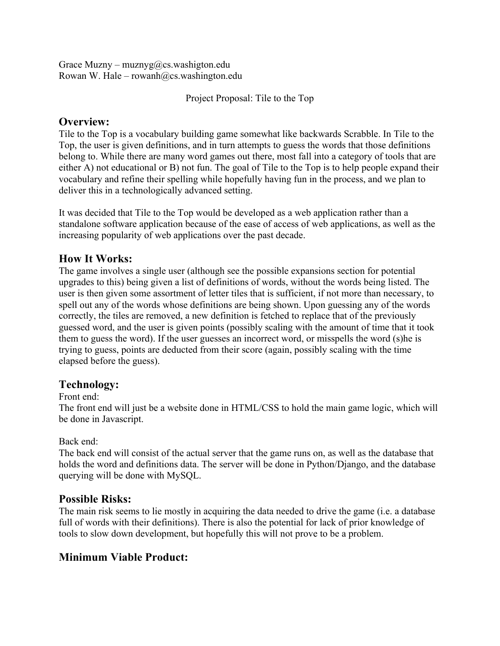Grace Muzny – muznyg@cs.washigton.edu Rowan W. Hale – rowanh $@cs.washington.edu$ 

Project Proposal: Tile to the Top

## **Overview:**

Tile to the Top is a vocabulary building game somewhat like backwards Scrabble. In Tile to the Top, the user is given definitions, and in turn attempts to guess the words that those definitions belong to. While there are many word games out there, most fall into a category of tools that are either A) not educational or B) not fun. The goal of Tile to the Top is to help people expand their vocabulary and refine their spelling while hopefully having fun in the process, and we plan to deliver this in a technologically advanced setting.

It was decided that Tile to the Top would be developed as a web application rather than a standalone software application because of the ease of access of web applications, as well as the increasing popularity of web applications over the past decade.

## **How It Works:**

The game involves a single user (although see the possible expansions section for potential upgrades to this) being given a list of definitions of words, without the words being listed. The user is then given some assortment of letter tiles that is sufficient, if not more than necessary, to spell out any of the words whose definitions are being shown. Upon guessing any of the words correctly, the tiles are removed, a new definition is fetched to replace that of the previously guessed word, and the user is given points (possibly scaling with the amount of time that it took them to guess the word). If the user guesses an incorrect word, or misspells the word (s)he is trying to guess, points are deducted from their score (again, possibly scaling with the time elapsed before the guess).

## **Technology:**

Front end:

The front end will just be a website done in HTML/CSS to hold the main game logic, which will be done in Javascript.

### Back end:

The back end will consist of the actual server that the game runs on, as well as the database that holds the word and definitions data. The server will be done in Python/Django, and the database querying will be done with MySQL.

## **Possible Risks:**

The main risk seems to lie mostly in acquiring the data needed to drive the game (i.e. a database full of words with their definitions). There is also the potential for lack of prior knowledge of tools to slow down development, but hopefully this will not prove to be a problem.

# **Minimum Viable Product:**